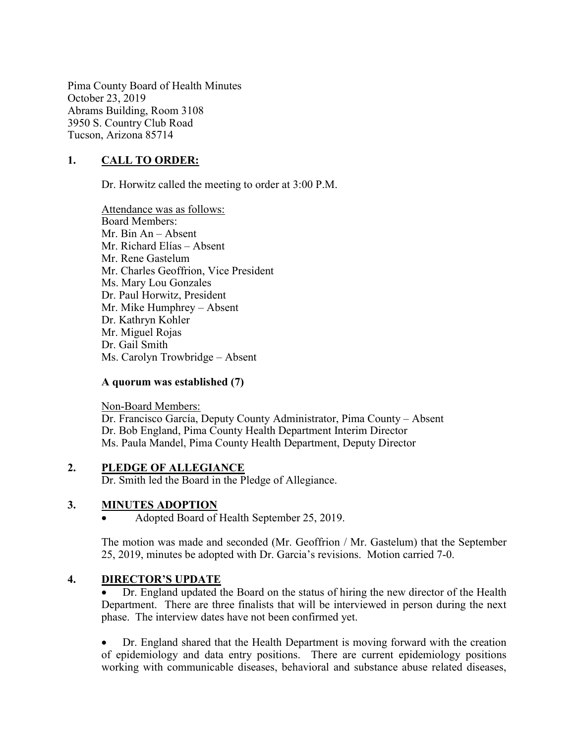Pima County Board of Health Minutes October 23, 2019 Abrams Building, Room 3108 3950 S. Country Club Road Tucson, Arizona 85714

# 1. CALL TO ORDER:

Dr. Horwitz called the meeting to order at 3:00 P.M.

Attendance was as follows: Board Members: Mr. Bin An – Absent Mr. Richard Elías – Absent Mr. Rene Gastelum Mr. Charles Geoffrion, Vice President Ms. Mary Lou Gonzales Dr. Paul Horwitz, President Mr. Mike Humphrey – Absent Dr. Kathryn Kohler Mr. Miguel Rojas Dr. Gail Smith Ms. Carolyn Trowbridge – Absent

#### A quorum was established (7)

Non-Board Members: Dr. Francisco García, Deputy County Administrator, Pima County – Absent Dr. Bob England, Pima County Health Department Interim Director Ms. Paula Mandel, Pima County Health Department, Deputy Director

#### 2. PLEDGE OF ALLEGIANCE

Dr. Smith led the Board in the Pledge of Allegiance.

#### 3. MINUTES ADOPTION

Adopted Board of Health September 25, 2019.

The motion was made and seconded (Mr. Geoffrion / Mr. Gastelum) that the September 25, 2019, minutes be adopted with Dr. Garcia's revisions. Motion carried 7-0.

#### 4. DIRECTOR'S UPDATE

 Dr. England updated the Board on the status of hiring the new director of the Health Department. There are three finalists that will be interviewed in person during the next phase. The interview dates have not been confirmed yet.

 Dr. England shared that the Health Department is moving forward with the creation of epidemiology and data entry positions. There are current epidemiology positions working with communicable diseases, behavioral and substance abuse related diseases,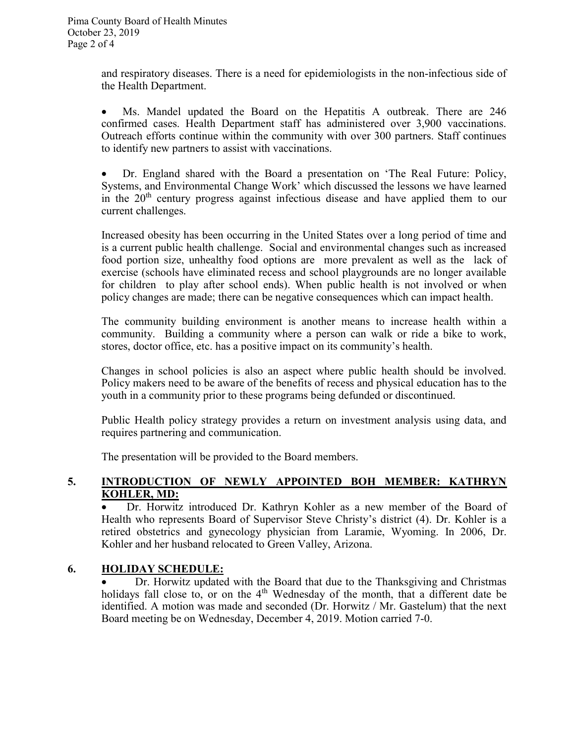and respiratory diseases. There is a need for epidemiologists in the non-infectious side of the Health Department.

 Ms. Mandel updated the Board on the Hepatitis A outbreak. There are 246 confirmed cases. Health Department staff has administered over 3,900 vaccinations. Outreach efforts continue within the community with over 300 partners. Staff continues to identify new partners to assist with vaccinations.

 Dr. England shared with the Board a presentation on 'The Real Future: Policy, Systems, and Environmental Change Work' which discussed the lessons we have learned in the  $20<sup>th</sup>$  century progress against infectious disease and have applied them to our current challenges.

Increased obesity has been occurring in the United States over a long period of time and is a current public health challenge. Social and environmental changes such as increased food portion size, unhealthy food options are more prevalent as well as the lack of exercise (schools have eliminated recess and school playgrounds are no longer available for children to play after school ends). When public health is not involved or when policy changes are made; there can be negative consequences which can impact health.

The community building environment is another means to increase health within a community. Building a community where a person can walk or ride a bike to work, stores, doctor office, etc. has a positive impact on its community's health.

Changes in school policies is also an aspect where public health should be involved. Policy makers need to be aware of the benefits of recess and physical education has to the youth in a community prior to these programs being defunded or discontinued.

Public Health policy strategy provides a return on investment analysis using data, and requires partnering and communication.

The presentation will be provided to the Board members.

# 5. INTRODUCTION OF NEWLY APPOINTED BOH MEMBER: KATHRYN KOHLER, MD:

 Dr. Horwitz introduced Dr. Kathryn Kohler as a new member of the Board of Health who represents Board of Supervisor Steve Christy's district (4). Dr. Kohler is a retired obstetrics and gynecology physician from Laramie, Wyoming. In 2006, Dr. Kohler and her husband relocated to Green Valley, Arizona.

# 6. HOLIDAY SCHEDULE:

 Dr. Horwitz updated with the Board that due to the Thanksgiving and Christmas holidays fall close to, or on the  $4<sup>th</sup>$  Wednesday of the month, that a different date be identified. A motion was made and seconded (Dr. Horwitz / Mr. Gastelum) that the next Board meeting be on Wednesday, December 4, 2019. Motion carried 7-0.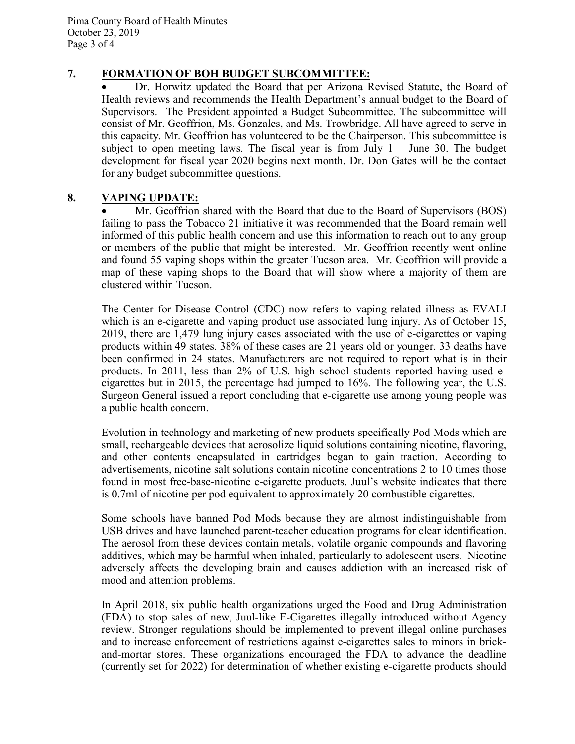Pima County Board of Health Minutes October 23, 2019 Page 3 of 4

## 7. FORMATION OF BOH BUDGET SUBCOMMITTEE:

 Dr. Horwitz updated the Board that per Arizona Revised Statute, the Board of Health reviews and recommends the Health Department's annual budget to the Board of Supervisors. The President appointed a Budget Subcommittee. The subcommittee will consist of Mr. Geoffrion, Ms. Gonzales, and Ms. Trowbridge. All have agreed to serve in this capacity. Mr. Geoffrion has volunteered to be the Chairperson. This subcommittee is subject to open meeting laws. The fiscal year is from July  $1 -$  June 30. The budget development for fiscal year 2020 begins next month. Dr. Don Gates will be the contact for any budget subcommittee questions.

## 8. VAPING UPDATE:

 Mr. Geoffrion shared with the Board that due to the Board of Supervisors (BOS) failing to pass the Tobacco 21 initiative it was recommended that the Board remain well informed of this public health concern and use this information to reach out to any group or members of the public that might be interested. Mr. Geoffrion recently went online and found 55 vaping shops within the greater Tucson area. Mr. Geoffrion will provide a map of these vaping shops to the Board that will show where a majority of them are clustered within Tucson.

The Center for Disease Control (CDC) now refers to vaping-related illness as EVALI which is an e-cigarette and vaping product use associated lung injury. As of October 15, 2019, there are 1,479 lung injury cases associated with the use of e-cigarettes or vaping products within 49 states. 38% of these cases are 21 years old or younger. 33 deaths have been confirmed in 24 states. Manufacturers are not required to report what is in their products. In 2011, less than 2% of U.S. high school students reported having used ecigarettes but in 2015, the percentage had jumped to 16%. The following year, the U.S. Surgeon General issued a report concluding that e-cigarette use among young people was a public health concern.

Evolution in technology and marketing of new products specifically Pod Mods which are small, rechargeable devices that aerosolize liquid solutions containing nicotine, flavoring, and other contents encapsulated in cartridges began to gain traction. According to advertisements, nicotine salt solutions contain nicotine concentrations 2 to 10 times those found in most free-base-nicotine e-cigarette products. Juul's website indicates that there is 0.7ml of nicotine per pod equivalent to approximately 20 combustible cigarettes.

Some schools have banned Pod Mods because they are almost indistinguishable from USB drives and have launched parent-teacher education programs for clear identification. The aerosol from these devices contain metals, volatile organic compounds and flavoring additives, which may be harmful when inhaled, particularly to adolescent users. Nicotine adversely affects the developing brain and causes addiction with an increased risk of mood and attention problems.

In April 2018, six public health organizations urged the Food and Drug Administration (FDA) to stop sales of new, Juul-like E-Cigarettes illegally introduced without Agency review. Stronger regulations should be implemented to prevent illegal online purchases and to increase enforcement of restrictions against e-cigarettes sales to minors in brickand-mortar stores. These organizations encouraged the FDA to advance the deadline (currently set for 2022) for determination of whether existing e-cigarette products should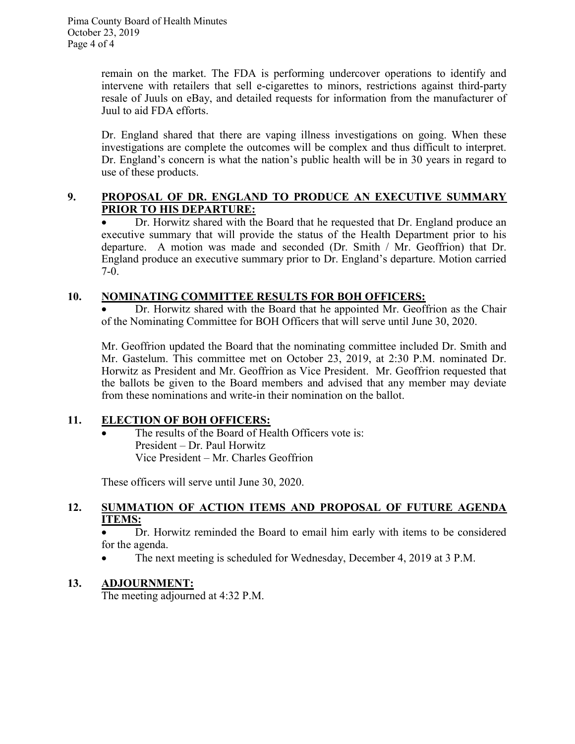remain on the market. The FDA is performing undercover operations to identify and intervene with retailers that sell e-cigarettes to minors, restrictions against third-party resale of Juuls on eBay, and detailed requests for information from the manufacturer of Juul to aid FDA efforts.

Dr. England shared that there are vaping illness investigations on going. When these investigations are complete the outcomes will be complex and thus difficult to interpret. Dr. England's concern is what the nation's public health will be in 30 years in regard to use of these products.

# 9. PROPOSAL OF DR. ENGLAND TO PRODUCE AN EXECUTIVE SUMMARY PRIOR TO HIS DEPARTURE:

• Dr. Horwitz shared with the Board that he requested that Dr. England produce an executive summary that will provide the status of the Health Department prior to his departure. A motion was made and seconded (Dr. Smith / Mr. Geoffrion) that Dr. England produce an executive summary prior to Dr. England's departure. Motion carried 7-0.

# 10. NOMINATING COMMITTEE RESULTS FOR BOH OFFICERS:

 Dr. Horwitz shared with the Board that he appointed Mr. Geoffrion as the Chair of the Nominating Committee for BOH Officers that will serve until June 30, 2020.

Mr. Geoffrion updated the Board that the nominating committee included Dr. Smith and Mr. Gastelum. This committee met on October 23, 2019, at 2:30 P.M. nominated Dr. Horwitz as President and Mr. Geoffrion as Vice President. Mr. Geoffrion requested that the ballots be given to the Board members and advised that any member may deviate from these nominations and write-in their nomination on the ballot.

# 11. ELECTION OF BOH OFFICERS:

The results of the Board of Health Officers vote is: President – Dr. Paul Horwitz Vice President – Mr. Charles Geoffrion

These officers will serve until June 30, 2020.

## 12. SUMMATION OF ACTION ITEMS AND PROPOSAL OF FUTURE AGENDA ITEMS:

 Dr. Horwitz reminded the Board to email him early with items to be considered for the agenda.

• The next meeting is scheduled for Wednesday, December 4, 2019 at 3 P.M.

# 13. ADJOURNMENT:

The meeting adjourned at 4:32 P.M.